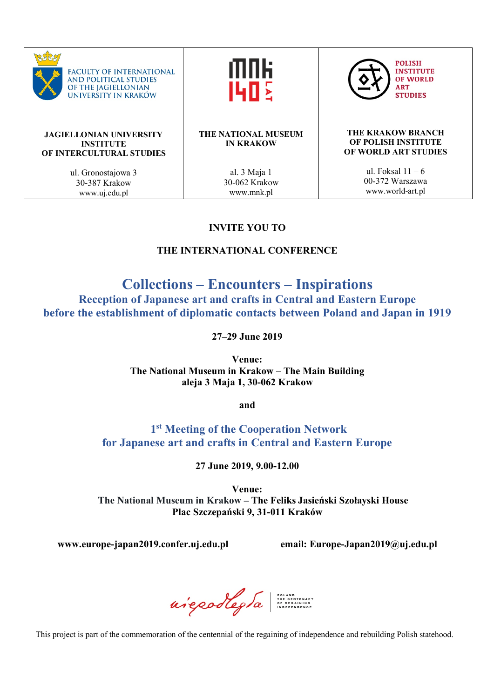

## **INVITE YOU TO**

## **THE INTERNATIONAL CONFERENCE**

# **Collections – Encounters – Inspirations**

**Reception of Japanese art and crafts in Central and Eastern Europe before the establishment of diplomatic contacts between Poland and Japan in 1919**

**27–29 June 2019**

**Venue: The National Museum in Krakow – The Main Building aleja 3 Maja 1, 30-062 Krakow**

**and**

## **1st Meeting of the Cooperation Network for Japanese art and crafts in Central and Eastern Europe**

**27 June 2019, 9.00-12.00**

**Venue: The National Museum in Krakow – The Feliks Jasieński Szołayski House Plac Szczepański 9, 31-011 Kraków**

**www.europe-japan2019.confer.uj.edu.pl email: Europe-Japan2019@uj.edu.pl**

niepodlegta

This project is part of the commemoration of the centennial of the regaining of independence and rebuilding Polish statehood.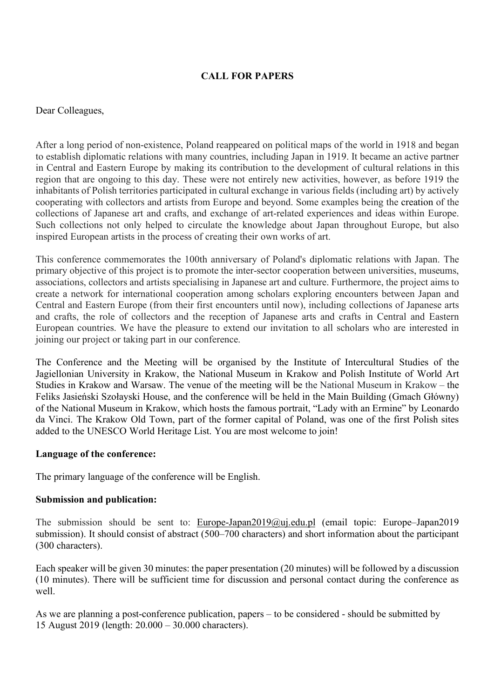## **CALL FOR PAPERS**

#### Dear Colleagues,

After a long period of non-existence, Poland reappeared on political maps of the world in 1918 and began to establish diplomatic relations with many countries, including Japan in 1919. It became an active partner in Central and Eastern Europe by making its contribution to the development of cultural relations in this region that are ongoing to this day. These were not entirely new activities, however, as before 1919 the inhabitants of Polish territories participated in cultural exchange in various fields (including art) by actively cooperating with collectors and artists from Europe and beyond. Some examples being the creation of the collections of Japanese art and crafts, and exchange of art-related experiences and ideas within Europe. Such collections not only helped to circulate the knowledge about Japan throughout Europe, but also inspired European artists in the process of creating their own works of art.

This conference commemorates the 100th anniversary of Poland's diplomatic relations with Japan. The primary objective of this project is to promote the inter-sector cooperation between universities, museums, associations, collectors and artists specialising in Japanese art and culture. Furthermore, the project aims to create a network for international cooperation among scholars exploring encounters between Japan and Central and Eastern Europe (from their first encounters until now), including collections of Japanese arts and crafts, the role of collectors and the reception of Japanese arts and crafts in Central and Eastern European countries. We have the pleasure to extend our invitation to all scholars who are interested in joining our project or taking part in our conference.

The Conference and the Meeting will be organised by the Institute of Intercultural Studies of the Jagiellonian University in Krakow, the National Museum in Krakow and Polish Institute of World Art Studies in Krakow and Warsaw. The venue of the meeting will be the National Museum in Krakow – the Feliks Jasieński Szołayski House, and the conference will be held in the Main Building (Gmach Główny) of the National Museum in Krakow, which hosts the famous portrait, "Lady with an Ermine" by Leonardo da Vinci. The Krakow Old Town, part of the former capital of Poland, was one of the first Polish sites added to the UNESCO World Heritage List. You are most welcome to join!

#### **Language of the conference:**

The primary language of the conference will be English.

#### **Submission and publication:**

The submission should be sent to: Europe-Japan2019@uj.edu.pl (email topic: Europe–Japan2019 submission). It should consist of abstract (500–700 characters) and short information about the participant (300 characters).

Each speaker will be given 30 minutes: the paper presentation (20 minutes) will be followed by a discussion (10 minutes). There will be sufficient time for discussion and personal contact during the conference as well.

As we are planning a post-conference publication, papers – to be considered - should be submitted by 15 August 2019 (length: 20.000 – 30.000 characters).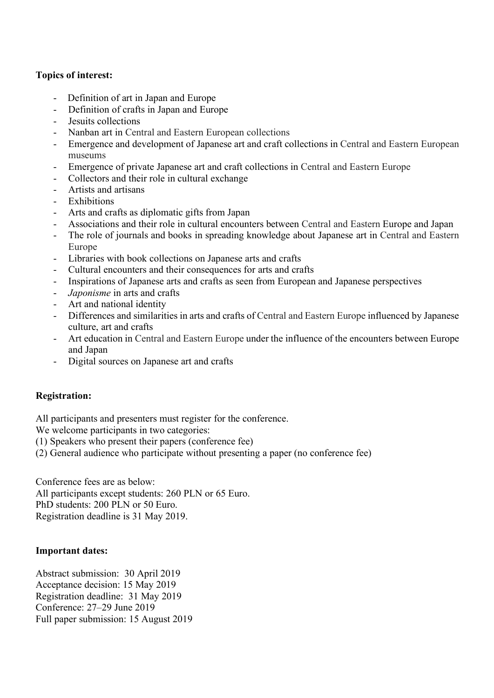## **Topics of interest:**

- Definition of art in Japan and Europe
- Definition of crafts in Japan and Europe
- Jesuits collections
- Nanban art in Central and Eastern European collections
- Emergence and development of Japanese art and craft collections in Central and Eastern European museums
- Emergence of private Japanese art and craft collections in Central and Eastern Europe
- Collectors and their role in cultural exchange
- Artists and artisans
- Exhibitions
- Arts and crafts as diplomatic gifts from Japan
- Associations and their role in cultural encounters between Central and Eastern Europe and Japan
- The role of journals and books in spreading knowledge about Japanese art in Central and Eastern Europe
- Libraries with book collections on Japanese arts and crafts
- Cultural encounters and their consequences for arts and crafts
- Inspirations of Japanese arts and crafts as seen from European and Japanese perspectives
- *Japonisme* in arts and crafts
- Art and national identity
- Differences and similarities in arts and crafts of Central and Eastern Europe influenced by Japanese culture, art and crafts
- Art education in Central and Eastern Europe under the influence of the encounters between Europe and Japan
- Digital sources on Japanese art and crafts

## **Registration:**

All participants and presenters must register for the conference.

We welcome participants in two categories:

- (1) Speakers who present their papers (conference fee)
- (2) General audience who participate without presenting a paper (no conference fee)

Conference fees are as below:

All participants except students: 260 PLN or 65 Euro. PhD students: 200 PLN or 50 Euro.

Registration deadline is 31 May 2019.

## **Important dates:**

Abstract submission: 30 April 2019 Acceptance decision: 15 May 2019 Registration deadline: 31 May 2019 Conference: 27–29 June 2019 Full paper submission: 15 August 2019